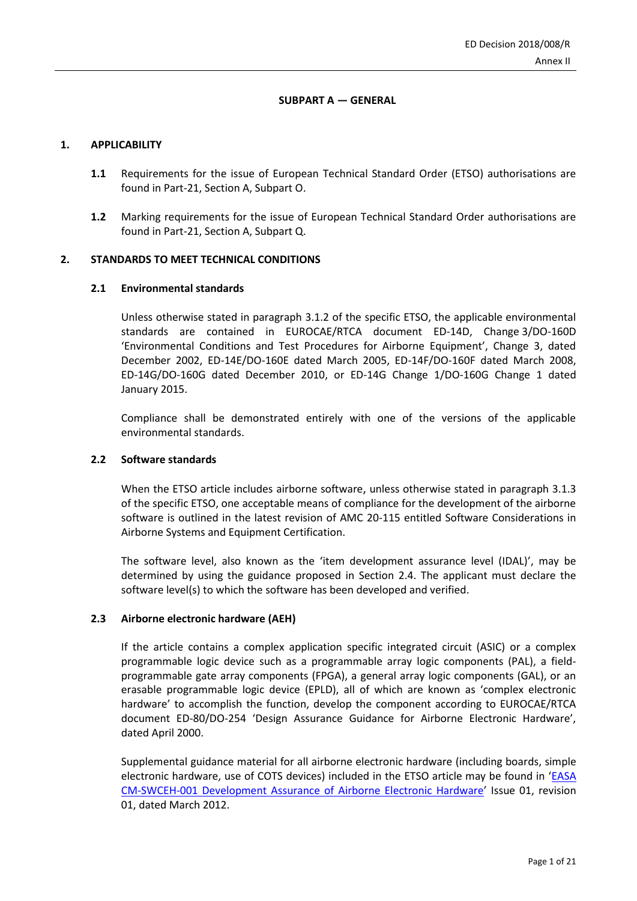## **SUBPART A — GENERAL**

## **1. APPLICABILITY**

- **1.1** Requirements for the issue of European Technical Standard Order (ETSO) authorisations are found in Part-21, Section A, Subpart O.
- **1.2** Marking requirements for the issue of European Technical Standard Order authorisations are found in Part-21, Section A, Subpart Q.

## **2. STANDARDS TO MEET TECHNICAL CONDITIONS**

## **2.1 Environmental standards**

Unless otherwise stated in paragraph 3.1.2 of the specific ETSO, the applicable environmental standards are contained in EUROCAE/RTCA document ED-14D, Change 3/DO-160D 'Environmental Conditions and Test Procedures for Airborne Equipment', Change 3, dated December 2002, ED-14E/DO-160E dated March 2005, ED-14F/DO-160F dated March 2008, ED-14G/DO-160G dated December 2010, or ED-14G Change 1/DO-160G Change 1 dated January 2015.

Compliance shall be demonstrated entirely with one of the versions of the applicable environmental standards.

#### **2.2 Software standards**

When the ETSO article includes airborne software, unless otherwise stated in paragraph 3.1.3 of the specific ETSO, one acceptable means of compliance for the development of the airborne software is outlined in the latest revision of AMC 20-115 entitled Software Considerations in Airborne Systems and Equipment Certification.

The software level, also known as the 'item development assurance level (IDAL)', may be determined by using the guidance proposed in Section 2.4. The applicant must declare the software level(s) to which the software has been developed and verified.

## **2.3 Airborne electronic hardware (AEH)**

If the article contains a complex application specific integrated circuit (ASIC) or a complex programmable logic device such as a programmable array logic components (PAL), a fieldprogrammable gate array components (FPGA), a general array logic components (GAL), or an erasable programmable logic device (EPLD), all of which are known as 'complex electronic hardware' to accomplish the function, develop the component according to EUROCAE/RTCA document ED-80/DO-254 'Design Assurance Guidance for Airborne Electronic Hardware', dated April 2000.

Supplemental guidance material for all airborne electronic hardware (including boards, simple electronic hardware, use of COTS devices) included in the ETSO article may be found in '[EASA](https://www.easa.europa.eu/system/files/dfu/certification-memoranda-import-EASA%20CM-SWCEH-001%20Development%20Assurance%20of%20Airborne%20Electronic%20Hardware.pdf)  [CM-SWCEH-001 Development Assurance of Airborne Electronic Hardware](https://www.easa.europa.eu/system/files/dfu/certification-memoranda-import-EASA%20CM-SWCEH-001%20Development%20Assurance%20of%20Airborne%20Electronic%20Hardware.pdf)' Issue 01, revision 01, dated March 2012.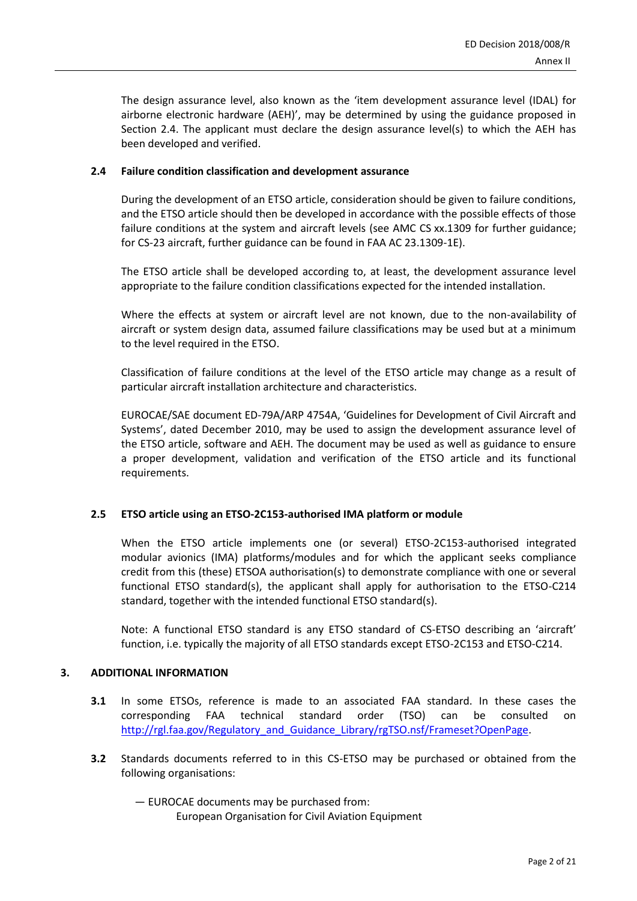The design assurance level, also known as the 'item development assurance level (IDAL) for airborne electronic hardware (AEH)', may be determined by using the guidance proposed in Section 2.4. The applicant must declare the design assurance level(s) to which the AEH has been developed and verified.

# **2.4 Failure condition classification and development assurance**

During the development of an ETSO article, consideration should be given to failure conditions, and the ETSO article should then be developed in accordance with the possible effects of those failure conditions at the system and aircraft levels (see AMC CS xx.1309 for further guidance; for CS-23 aircraft, further guidance can be found in FAA AC 23.1309-1E).

The ETSO article shall be developed according to, at least, the development assurance level appropriate to the failure condition classifications expected for the intended installation.

Where the effects at system or aircraft level are not known, due to the non-availability of aircraft or system design data, assumed failure classifications may be used but at a minimum to the level required in the ETSO.

Classification of failure conditions at the level of the ETSO article may change as a result of particular aircraft installation architecture and characteristics.

EUROCAE/SAE document ED-79A/ARP 4754A, 'Guidelines for Development of Civil Aircraft and Systems', dated December 2010, may be used to assign the development assurance level of the ETSO article, software and AEH. The document may be used as well as guidance to ensure a proper development, validation and verification of the ETSO article and its functional requirements.

# **2.5 ETSO article using an ETSO-2C153-authorised IMA platform or module**

When the ETSO article implements one (or several) ETSO-2C153-authorised integrated modular avionics (IMA) platforms/modules and for which the applicant seeks compliance credit from this (these) ETSOA authorisation(s) to demonstrate compliance with one or several functional ETSO standard(s), the applicant shall apply for authorisation to the ETSO-C214 standard, together with the intended functional ETSO standard(s).

Note: A functional ETSO standard is any ETSO standard of CS-ETSO describing an 'aircraft' function, i.e. typically the majority of all ETSO standards except ETSO-2C153 and ETSO-C214.

## **3. ADDITIONAL INFORMATION**

- **3.1** In some ETSOs, reference is made to an associated FAA standard. In these cases the corresponding FAA technical standard order (TSO) can be consulted on [http://rgl.faa.gov/Regulatory\\_and\\_Guidance\\_Library/rgTSO.nsf/Frameset?OpenPage.](http://rgl.faa.gov/Regulatory_and_Guidance_Library/rgTSO.nsf/Frameset?OpenPage)
- **3.2** Standards documents referred to in this CS-ETSO may be purchased or obtained from the following organisations:
	- EUROCAE documents may be purchased from:

European Organisation for Civil Aviation Equipment